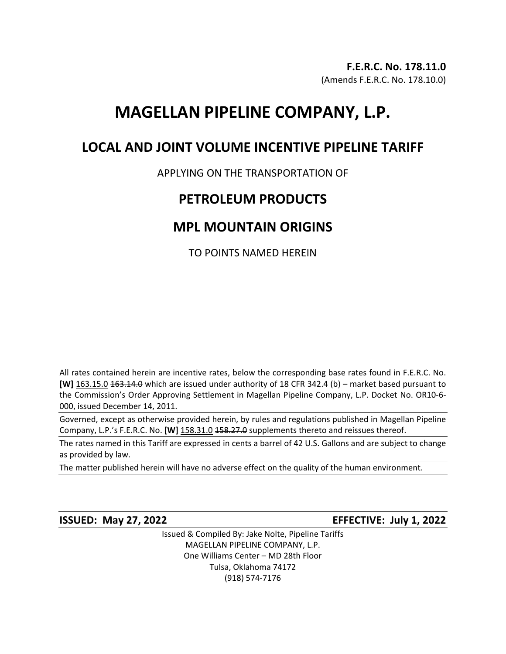# **MAGELLAN PIPELINE COMPANY, L.P.**

### **LOCAL AND JOINT VOLUME INCENTIVE PIPELINE TARIFF**

### APPLYING ON THE TRANSPORTATION OF

### **PETROLEUM PRODUCTS**

## **MPL MOUNTAIN ORIGINS**

TO POINTS NAMED HEREIN

All rates contained herein are incentive rates, below the corresponding base rates found in F.E.R.C. No. **[W]** 163.15.0 163.14.0 which are issued under authority of 18 CFR 342.4 (b) – market based pursuant to the Commission's Order Approving Settlement in Magellan Pipeline Company, L.P. Docket No. OR10-6- 000, issued December 14, 2011.

Governed, except as otherwise provided herein, by rules and regulations published in Magellan Pipeline Company, L.P.'s F.E.R.C. No. **[W]** 158.31.0 158.27.0 supplements thereto and reissues thereof.

The rates named in this Tariff are expressed in cents a barrel of 42 U.S. Gallons and are subject to change as provided by law.

The matter published herein will have no adverse effect on the quality of the human environment.

**ISSUED: May 27, 2022 EFFECTIVE: July 1, 2022**

Issued & Compiled By: Jake Nolte, Pipeline Tariffs MAGELLAN PIPELINE COMPANY, L.P. One Williams Center – MD 28th Floor Tulsa, Oklahoma 74172 (918) 574-7176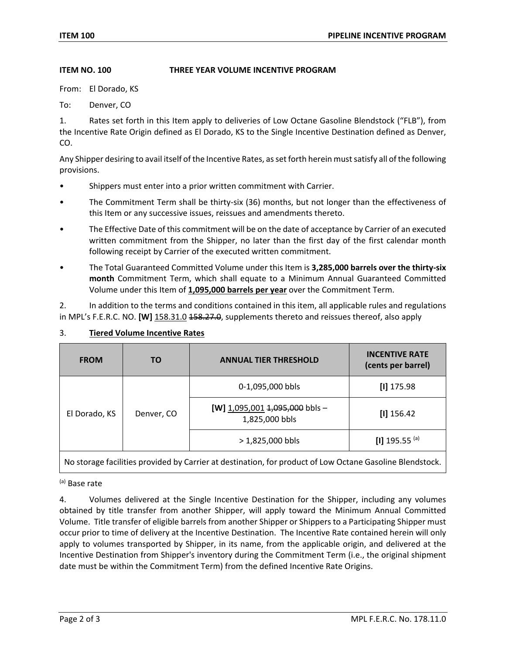#### **ITEM NO. 100 THREE YEAR VOLUME INCENTIVE PROGRAM**

From: El Dorado, KS

To: Denver, CO

1. Rates set forth in this Item apply to deliveries of Low Octane Gasoline Blendstock ("FLB"), from the Incentive Rate Origin defined as El Dorado, KS to the Single Incentive Destination defined as Denver, CO.

Any Shipper desiring to avail itself of the Incentive Rates, as set forth herein must satisfy all of the following provisions.

- Shippers must enter into a prior written commitment with Carrier.
- The Commitment Term shall be thirty-six (36) months, but not longer than the effectiveness of this Item or any successive issues, reissues and amendments thereto.
- The Effective Date of this commitment will be on the date of acceptance by Carrier of an executed written commitment from the Shipper, no later than the first day of the first calendar month following receipt by Carrier of the executed written commitment.
- The Total Guaranteed Committed Volume under this Item is **3,285,000 barrels over the thirty-six month** Commitment Term, which shall equate to a Minimum Annual Guaranteed Committed Volume under this Item of **1,095,000 barrels per year** over the Commitment Term.

2. In addition to the terms and conditions contained in this item, all applicable rules and regulations in MPL's F.E.R.C. NO. **[W]** 158.31.0 458.27.0, supplements thereto and reissues thereof, also apply

| <b>FROM</b>                                                                                              | <b>TO</b>  | <b>ANNUAL TIER THRESHOLD</b>                         | <b>INCENTIVE RATE</b><br>(cents per barrel) |
|----------------------------------------------------------------------------------------------------------|------------|------------------------------------------------------|---------------------------------------------|
| El Dorado, KS                                                                                            | Denver, CO | 0-1,095,000 bbls                                     | $[1]$ 175.98                                |
|                                                                                                          |            | [W] $1,095,001$ $1,095,000$ bbls -<br>1,825,000 bbls | $[1]$ 156.42                                |
|                                                                                                          |            | $> 1,825,000$ bbls                                   | [I] 195.55 $(a)$                            |
| No storage facilities provided by Carrier at destination, for product of Low Octane Gasoline Blendstock. |            |                                                      |                                             |

### 3. **Tiered Volume Incentive Rates**

(a) Base rate

4. Volumes delivered at the Single Incentive Destination for the Shipper, including any volumes obtained by title transfer from another Shipper, will apply toward the Minimum Annual Committed Volume. Title transfer of eligible barrels from another Shipper or Shippers to a Participating Shipper must occur prior to time of delivery at the Incentive Destination. The Incentive Rate contained herein will only apply to volumes transported by Shipper, in its name, from the applicable origin, and delivered at the Incentive Destination from Shipper's inventory during the Commitment Term (i.e., the original shipment date must be within the Commitment Term) from the defined Incentive Rate Origins.